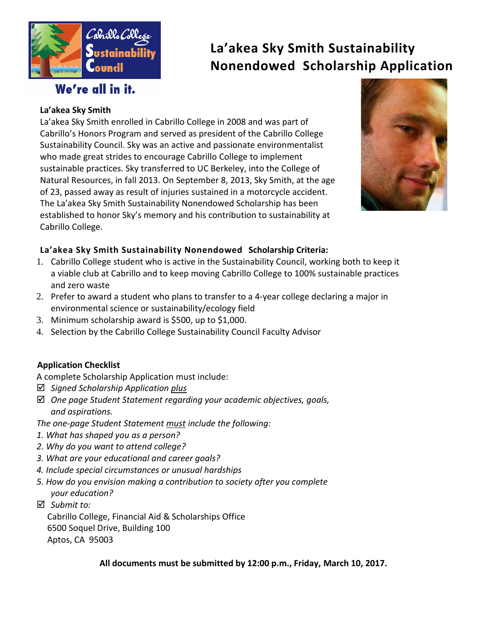

# **La'akea Sky Smith Sustainability Nonendowed Scholarship Application**

# We're all in it.

### **La'akea Sky Smith**

La'akea Sky Smith enrolled in Cabrillo College in 2008 and was part of Cabrillo's Honors Program and served as president of the Cabrillo College Sustainability Council. Sky was an active and passionate environmentalist who made great strides to encourage Cabrillo College to implement sustainable practices. Sky transferred to UC Berkeley, into the College of Natural Resources, in fall 2013. On September 8, 2013, Sky Smith, at the age of 23, passed away as result of injuries sustained in a motorcycle accident. The La'akea Sky Smith Sustainability Nonendowed Scholarship has been established to honor Sky's memory and his contribution to sustainability at Cabrillo College.



### **La'akea Sky Smith Sustainability Nonendowed Scholarship Criteria:**

- 1. Cabrillo College student who is active in the Sustainability Council, working both to keep it a viable club at Cabrillo and to keep moving Cabrillo College to 100% sustainable practices and zero waste
- 2. Prefer to award a student who plans to transfer to a 4-year college declaring a major in environmental science or sustainability/ecology field
- 3. Minimum scholarship award is \$500, up to \$1,000.
- 4. Selection by the Cabrillo College Sustainability Council Faculty Advisor

## **Application Checklist**

A complete Scholarship Application must include:

- *Signed Scholarship Application plus*
- *One page Student Statement regarding your academic objectives, goals, and aspirations.*

*The one-page Student Statement must include the following:*

- *1. What has shaped you as a person?*
- *2. Why do you want to attend college?*
- *3. What are your educational and career goals?*
- *4. Include special circumstances or unusual hardships*
- *5. How do you envision making a contribution to society after you complete your education?*
- *Submit to:*

Cabrillo College, Financial Aid & Scholarships Office 6500 Soquel Drive, Building 100 Aptos, CA 95003

**All documents must be submitted by 12:00 p.m., Friday, March 10, 2017.**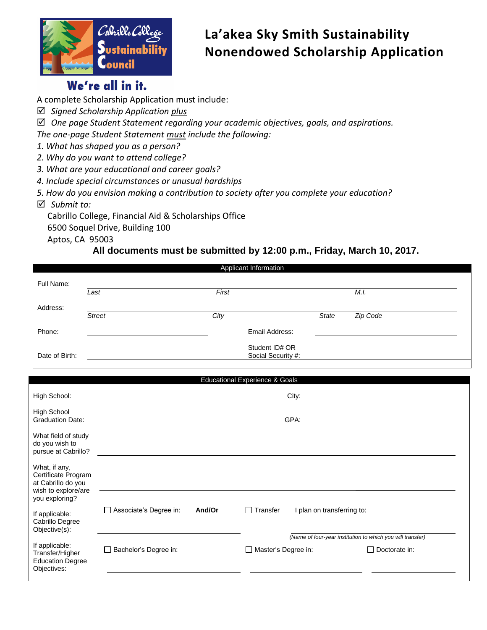

# **La'akea Sky Smith Sustainability Nonendowed Scholarship Application**

## We're all in it.

A complete Scholarship Application must include:

- *Signed Scholarship Application plus*
- *One page Student Statement regarding your academic objectives, goals, and aspirations.*

*The one-page Student Statement must include the following:*

- *1. What has shaped you as a person?*
- *2. Why do you want to attend college?*
- *3. What are your educational and career goals?*
- *4. Include special circumstances or unusual hardships*
- *5. How do you envision making a contribution to society after you complete your education?*
- *Submit to:*

Cabrillo College, Financial Aid & Scholarships Office

6500 Soquel Drive, Building 100

Aptos, CA 95003

## **All documents must be submitted by 12:00 p.m., Friday, March 10, 2017.**

| Applicant Information                                                                               |                        |        |                                           |                            |                                                                                    |  |
|-----------------------------------------------------------------------------------------------------|------------------------|--------|-------------------------------------------|----------------------------|------------------------------------------------------------------------------------|--|
| Full Name:                                                                                          |                        |        |                                           |                            |                                                                                    |  |
|                                                                                                     | Last                   | First  |                                           |                            | M.I.                                                                               |  |
| Address:                                                                                            |                        |        |                                           |                            |                                                                                    |  |
|                                                                                                     | <b>Street</b>          | City   |                                           | <b>State</b>               | Zip Code                                                                           |  |
| Phone:                                                                                              |                        |        | Email Address:                            |                            |                                                                                    |  |
| Date of Birth:                                                                                      |                        |        | Student ID# OR<br>Social Security #:      |                            |                                                                                    |  |
|                                                                                                     |                        |        | <b>Educational Experience &amp; Goals</b> |                            |                                                                                    |  |
| High School:                                                                                        |                        |        | City:                                     |                            |                                                                                    |  |
| <b>High School</b><br><b>Graduation Date:</b>                                                       |                        |        | GPA:                                      |                            |                                                                                    |  |
| What field of study<br>do you wish to<br>pursue at Cabrillo?                                        |                        |        |                                           |                            |                                                                                    |  |
| What, if any,<br>Certificate Program<br>at Cabrillo do you<br>wish to explore/are<br>you exploring? |                        |        |                                           |                            |                                                                                    |  |
| If applicable:<br>Cabrillo Degree<br>Objective(s):                                                  | Associate's Degree in: | And/Or | $\Box$ Transfer                           | I plan on transferring to: |                                                                                    |  |
| If applicable:<br>Transfer/Higher<br><b>Education Degree</b><br>Objectives:                         | Bachelor's Degree in:  |        | $\Box$ Master's Degree in:                |                            | (Name of four-year institution to which you will transfer)<br>$\Box$ Doctorate in: |  |
|                                                                                                     |                        |        |                                           |                            |                                                                                    |  |